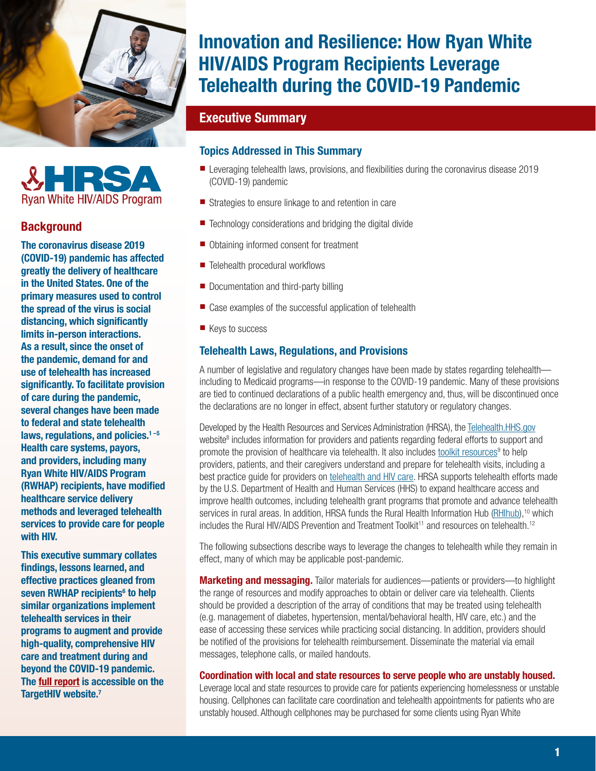<span id="page-0-0"></span>



# **Background**

The coronavirus disease 2019 (COVID-19) pandemic has affected greatly the delivery of healthcare in the United States. One of the primary measures used to control the spread of the virus is social distancing, which significantly limits in-person interactions. As a result, since the onset of the pandemic, demand for and use of telehealth has increased significantly. To facilitate provision of care during the pandemic, several changes have been made to federal and state telehealth laws, regulations, and policies.<sup>1-5</sup> Health care systems, payors, and providers, including many Ryan White HIV/AIDS Program (RWHAP) recipients, have modified healthcare service delivery methods and leveraged telehealth services to provide care for people with HIV.

This executive summary collates findings, lessons learned, and effective practices gleaned from seven RWHAP recipients<sup>[6](#page-3-0)</sup> to help similar organizations implement telehealth services in their programs to augment and provide high-quality, comprehensive HIV care and treatment during and beyond the COVID-19 pandemic. The [full report](https://targethiv.org/library/innovation-rwhap-telehealth) is accessible on the TargetHIV website.<sup>7</sup>

# Innovation and Resilience: How Ryan White HIV/AIDS Program Recipients Leverage Telehealth during the COVID-19 Pandemic

# Executive Summary

# Topics Addressed in This Summary

- Leveraging telehealth laws, provisions, and flexibilities during the coronavirus disease 2019 (COVID-19) pandemic
- Strategies to ensure linkage to and retention in care
- Technology considerations and bridging the digital divide
- Obtaining informed consent for treatment
- Telehealth procedural workflows
- Documentation and third-party billing
- Case examples of the successful application of telehealth
- Keys to success

# Telehealth Laws, Regulations, and Provisions

A number of legislative and regulatory changes have been made by states regarding telehealth including to Medicaid programs—in response to the COVID-19 pandemic. Many of these provisions are tied to continued declarations of a public health emergency and, thus, will be discontinued once the declarations are no longer in effect, absent further statutory or regulatory changes.

Developed by the Health Resources and Services Administration (HRSA), the [Telehealth.HHS.gov](https://telehealth.hhs.gov/) website<sup>[8](#page-3-0)</sup> includes information for providers and patients regarding federal efforts to support and promote the provision of healthcare via telehealth. It also includes [toolkit resources](https://telehealth.hhs.gov/partner-toolkit/)<sup>[9](#page-3-0)</sup> to help providers, patients, and their caregivers understand and prepare for telehealth visits, including a best practice guide for providers on [telehealth and HIV care.](https://telehealth.hhs.gov/providers/telehealth-for-hiv-care/) HRSA supports telehealth efforts made by the U.S. Department of Health and Human Services (HHS) to expand healthcare access and improve health outcomes, including telehealth grant programs that promote and advance telehealth services in rural areas. In addition, HRSA funds the Rural Health Information Hub [\(RHIhub\)](https://www.ruralhealthinfo.org/),<sup>[10](#page-3-0)</sup> which includes the Rural HIV/AIDS Prevention and Treatment Toolkit<sup>11</sup> and resources on telehealth.<sup>[12](#page-3-0)</sup>

The following subsections describe ways to leverage the changes to telehealth while they remain in effect, many of which may be applicable post-pandemic.

**Marketing and messaging.** Tailor materials for audiences—patients or providers—to highlight the range of resources and modify approaches to obtain or deliver care via telehealth. Clients should be provided a description of the array of conditions that may be treated using telehealth (e.g. management of diabetes, hypertension, mental/behavioral health, HIV care, etc.) and the ease of accessing these services while practicing social distancing. In addition, providers should be notified of the provisions for telehealth reimbursement. Disseminate the material via email messages, telephone calls, or mailed handouts.

#### Coordination with local and state resources to serve people who are unstably housed.

Leverage local and state resources to provide care for patients experiencing homelessness or unstable housing. Cellphones can facilitate care coordination and telehealth appointments for patients who are unstably housed. Although cellphones may be purchased for some clients using Ryan White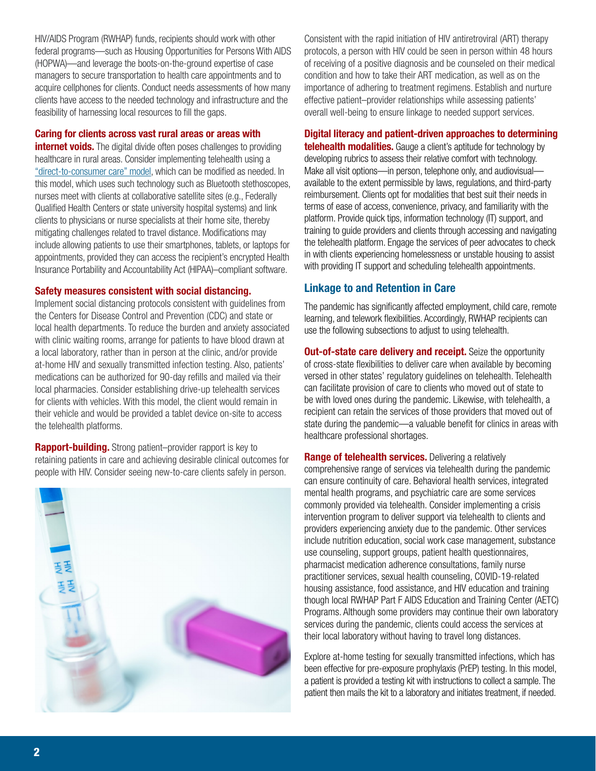HIV/AIDS Program (RWHAP) funds, recipients should work with other federal programs—such as Housing Opportunities for Persons With AIDS (HOPWA)—and leverage the boots-on-the-ground expertise of case managers to secure transportation to health care appointments and to acquire cellphones for clients. Conduct needs assessments of how many clients have access to the needed technology and infrastructure and the feasibility of harnessing local resources to fill the gaps.

## Caring for clients across vast rural areas or areas with

**internet voids.** The digital divide often poses challenges to providing healthcare in rural areas. Consider implementing telehealth using a ["direct-to-consumer care" model](https://telehealth.hhs.gov/providers/direct-to-consumer/), which can be modified as needed. In this model, which uses such technology such as Bluetooth stethoscopes, nurses meet with clients at collaborative satellite sites (e.g., Federally Qualified Health Centers or state university hospital systems) and link clients to physicians or nurse specialists at their home site, thereby mitigating challenges related to travel distance. Modifications may include allowing patients to use their smartphones, tablets, or laptops for appointments, provided they can access the recipient's encrypted Health Insurance Portability and Accountability Act (HIPAA)–compliant software.

### Safety measures consistent with social distancing.

Implement social distancing protocols consistent with guidelines from the Centers for Disease Control and Prevention (CDC) and state or local health departments. To reduce the burden and anxiety associated with clinic waiting rooms, arrange for patients to have blood drawn at a local laboratory, rather than in person at the clinic, and/or provide at-home HIV and sexually transmitted infection testing. Also, patients' medications can be authorized for 90-day refills and mailed via their local pharmacies. Consider establishing drive-up telehealth services for clients with vehicles. With this model, the client would remain in their vehicle and would be provided a tablet device on-site to access the telehealth platforms.

**Rapport-building.** Strong patient–provider rapport is key to retaining patients in care and achieving desirable clinical outcomes for people with HIV. Consider seeing new-to-care clients safely in person.



Consistent with the rapid initiation of HIV antiretroviral (ART) therapy protocols, a person with HIV could be seen in person within 48 hours of receiving of a positive diagnosis and be counseled on their medical condition and how to take their ART medication, as well as on the importance of adhering to treatment regimens. Establish and nurture effective patient–provider relationships while assessing patients' overall well-being to ensure linkage to needed support services.

## Digital literacy and patient-driven approaches to determining

**telehealth modalities.** Gauge a client's aptitude for technology by developing rubrics to assess their relative comfort with technology. Make all visit options—in person, telephone only, and audiovisual available to the extent permissible by laws, regulations, and third-party reimbursement. Clients opt for modalities that best suit their needs in terms of ease of access, convenience, privacy, and familiarity with the platform. Provide quick tips, information technology (IT) support, and training to guide providers and clients through accessing and navigating the telehealth platform. Engage the services of peer advocates to check in with clients experiencing homelessness or unstable housing to assist with providing IT support and scheduling telehealth appointments.

# Linkage to and Retention in Care

The pandemic has significantly affected employment, child care, remote learning, and telework flexibilities. Accordingly, RWHAP recipients can use the following subsections to adjust to using telehealth.

**Out-of-state care delivery and receipt.** Seize the opportunity of cross-state flexibilities to deliver care when available by becoming versed in other states' regulatory guidelines on telehealth. Telehealth can facilitate provision of care to clients who moved out of state to be with loved ones during the pandemic. Likewise, with telehealth, a recipient can retain the services of those providers that moved out of state during the pandemic—a valuable benefit for clinics in areas with healthcare professional shortages.

**Range of telehealth services.** Delivering a relatively comprehensive range of services via telehealth during the pandemic can ensure continuity of care. Behavioral health services, integrated mental health programs, and psychiatric care are some services commonly provided via telehealth. Consider implementing a crisis intervention program to deliver support via telehealth to clients and providers experiencing anxiety due to the pandemic. Other services include nutrition education, social work case management, substance use counseling, support groups, patient health questionnaires, pharmacist medication adherence consultations, family nurse practitioner services, sexual health counseling, COVID-19-related housing assistance, food assistance, and HIV education and training though local RWHAP Part F AIDS Education and Training Center (AETC) Programs. Although some providers may continue their own laboratory services during the pandemic, clients could access the services at their local laboratory without having to travel long distances.

Explore at-home testing for sexually transmitted infections, which has been effective for pre-exposure prophylaxis (PrEP) testing. In this model, a patient is provided a testing kit with instructions to collect a sample. The patient then mails the kit to a laboratory and initiates treatment, if needed.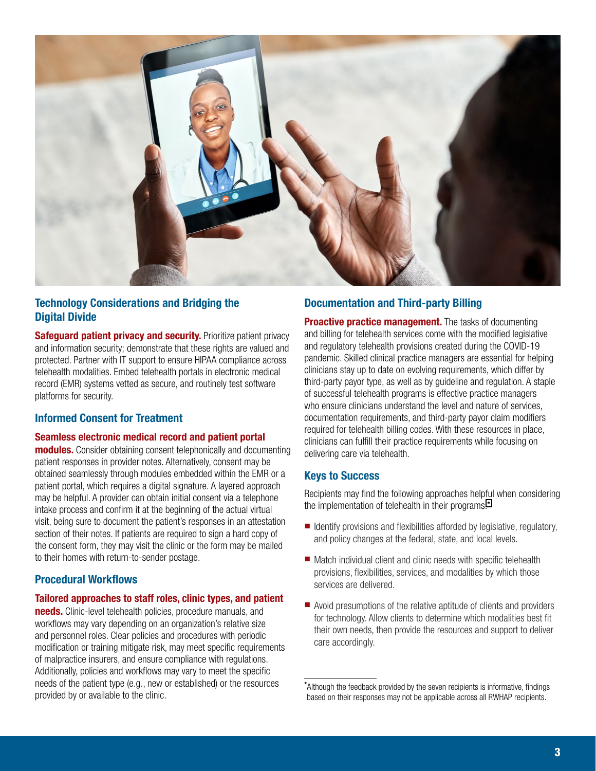

# Technology Considerations and Bridging the Digital Divide

**Safequard patient privacy and security.** Prioritize patient privacy and information security; demonstrate that these rights are valued and protected. Partner with IT support to ensure HIPAA compliance across telehealth modalities. Embed telehealth portals in electronic medical record (EMR) systems vetted as secure, and routinely test software platforms for security.

# Informed Consent for Treatment

#### Seamless electronic medical record and patient portal

modules. Consider obtaining consent telephonically and documenting patient responses in provider notes. Alternatively, consent may be obtained seamlessly through modules embedded within the EMR or a patient portal, which requires a digital signature. A layered approach may be helpful. A provider can obtain initial consent via a telephone intake process and confirm it at the beginning of the actual virtual visit, being sure to document the patient's responses in an attestation section of their notes. If patients are required to sign a hard copy of the consent form, they may visit the clinic or the form may be mailed to their homes with return-to-sender postage.

# Procedural Workflows

#### Tailored approaches to staff roles, clinic types, and patient

needs. Clinic-level telehealth policies, procedure manuals, and workflows may vary depending on an organization's relative size and personnel roles. Clear policies and procedures with periodic modification or training mitigate risk, may meet specific requirements of malpractice insurers, and ensure compliance with regulations. Additionally, policies and workflows may vary to meet the specific needs of the patient type (e.g., new or established) or the resources provided by or available to the clinic.

# Documentation and Third-party Billing

**Proactive practice management.** The tasks of documenting and billing for telehealth services come with the modified legislative and regulatory telehealth provisions created during the COVID-19 pandemic. Skilled clinical practice managers are essential for helping clinicians stay up to date on evolving requirements, which differ by third-party payor type, as well as by guideline and regulation. A staple of successful telehealth programs is effective practice managers who ensure clinicians understand the level and nature of services, documentation requirements, and third-party payor claim modifiers required for telehealth billing codes. With these resources in place, clinicians can fulfill their practice requirements while focusing on delivering care via telehealth.

## Keys to Success

Recipients may find the following approaches helpful when considering the implementation of telehealth in their programs:\*

- Identify provisions and flexibilities afforded by legislative, regulatory, and policy changes at the federal, state, and local levels.
- Match individual client and clinic needs with specific telehealth provisions, flexibilities, services, and modalities by which those services are delivered.
- Avoid presumptions of the relative aptitude of clients and providers for technology. Allow clients to determine which modalities best fit their own needs, then provide the resources and support to deliver care accordingly.

<sup>\*</sup> Although the feedback provided by the seven recipients is informative, findings based on their responses may not be applicable across all RWHAP recipients.